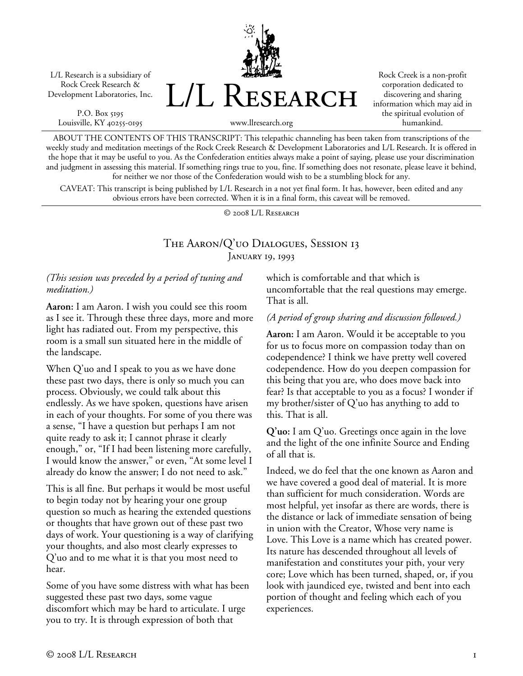L/L Research is a subsidiary of Rock Creek Research & Development Laboratories, Inc.

P.O. Box 5195 Louisville, KY 40255-0195 L/L Research

Rock Creek is a non-profit corporation dedicated to discovering and sharing information which may aid in the spiritual evolution of humankind.

www.llresearch.org

ABOUT THE CONTENTS OF THIS TRANSCRIPT: This telepathic channeling has been taken from transcriptions of the weekly study and meditation meetings of the Rock Creek Research & Development Laboratories and L/L Research. It is offered in the hope that it may be useful to you. As the Confederation entities always make a point of saying, please use your discrimination and judgment in assessing this material. If something rings true to you, fine. If something does not resonate, please leave it behind, for neither we nor those of the Confederation would wish to be a stumbling block for any.

CAVEAT: This transcript is being published by L/L Research in a not yet final form. It has, however, been edited and any obvious errors have been corrected. When it is in a final form, this caveat will be removed.

© 2008 L/L Research

## The Aaron/Q'uo Dialogues, Session 13 January 19, 1993

## *(This session was preceded by a period of tuning and meditation.)*

**Aaron:** I am Aaron. I wish you could see this room as I see it. Through these three days, more and more light has radiated out. From my perspective, this room is a small sun situated here in the middle of the landscape.

When Q'uo and I speak to you as we have done these past two days, there is only so much you can process. Obviously, we could talk about this endlessly. As we have spoken, questions have arisen in each of your thoughts. For some of you there was a sense, "I have a question but perhaps I am not quite ready to ask it; I cannot phrase it clearly enough," or, "If I had been listening more carefully, I would know the answer," or even, "At some level I already do know the answer; I do not need to ask."

This is all fine. But perhaps it would be most useful to begin today not by hearing your one group question so much as hearing the extended questions or thoughts that have grown out of these past two days of work. Your questioning is a way of clarifying your thoughts, and also most clearly expresses to Q'uo and to me what it is that you most need to hear.

Some of you have some distress with what has been suggested these past two days, some vague discomfort which may be hard to articulate. I urge you to try. It is through expression of both that

which is comfortable and that which is uncomfortable that the real questions may emerge. That is all.

## *(A period of group sharing and discussion followed.)*

**Aaron:** I am Aaron. Would it be acceptable to you for us to focus more on compassion today than on codependence? I think we have pretty well covered codependence. How do you deepen compassion for this being that you are, who does move back into fear? Is that acceptable to you as a focus? I wonder if my brother/sister of Q'uo has anything to add to this. That is all.

**Q'uo:** I am Q'uo. Greetings once again in the love and the light of the one infinite Source and Ending of all that is.

Indeed, we do feel that the one known as Aaron and we have covered a good deal of material. It is more than sufficient for much consideration. Words are most helpful, yet insofar as there are words, there is the distance or lack of immediate sensation of being in union with the Creator, Whose very name is Love. This Love is a name which has created power. Its nature has descended throughout all levels of manifestation and constitutes your pith, your very core; Love which has been turned, shaped, or, if you look with jaundiced eye, twisted and bent into each portion of thought and feeling which each of you experiences.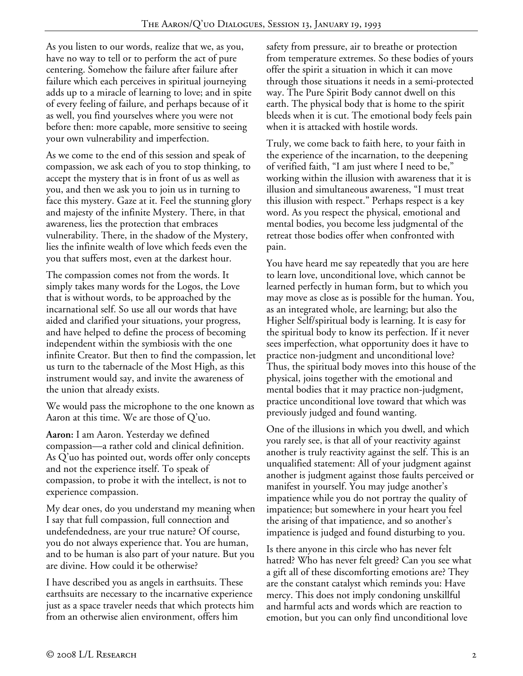As you listen to our words, realize that we, as you, have no way to tell or to perform the act of pure centering. Somehow the failure after failure after failure which each perceives in spiritual journeying adds up to a miracle of learning to love; and in spite of every feeling of failure, and perhaps because of it as well, you find yourselves where you were not before then: more capable, more sensitive to seeing your own vulnerability and imperfection.

As we come to the end of this session and speak of compassion, we ask each of you to stop thinking, to accept the mystery that is in front of us as well as you, and then we ask you to join us in turning to face this mystery. Gaze at it. Feel the stunning glory and majesty of the infinite Mystery. There, in that awareness, lies the protection that embraces vulnerability. There, in the shadow of the Mystery, lies the infinite wealth of love which feeds even the you that suffers most, even at the darkest hour.

The compassion comes not from the words. It simply takes many words for the Logos, the Love that is without words, to be approached by the incarnational self. So use all our words that have aided and clarified your situations, your progress, and have helped to define the process of becoming independent within the symbiosis with the one infinite Creator. But then to find the compassion, let us turn to the tabernacle of the Most High, as this instrument would say, and invite the awareness of the union that already exists.

We would pass the microphone to the one known as Aaron at this time. We are those of Q'uo.

**Aaron:** I am Aaron. Yesterday we defined compassion—a rather cold and clinical definition. As Q'uo has pointed out, words offer only concepts and not the experience itself. To speak of compassion, to probe it with the intellect, is not to experience compassion.

My dear ones, do you understand my meaning when I say that full compassion, full connection and undefendedness, are your true nature? Of course, you do not always experience that. You are human, and to be human is also part of your nature. But you are divine. How could it be otherwise?

I have described you as angels in earthsuits. These earthsuits are necessary to the incarnative experience just as a space traveler needs that which protects him from an otherwise alien environment, offers him

safety from pressure, air to breathe or protection from temperature extremes. So these bodies of yours offer the spirit a situation in which it can move through those situations it needs in a semi-protected way. The Pure Spirit Body cannot dwell on this earth. The physical body that is home to the spirit bleeds when it is cut. The emotional body feels pain when it is attacked with hostile words.

Truly, we come back to faith here, to your faith in the experience of the incarnation, to the deepening of verified faith, "I am just where I need to be," working within the illusion with awareness that it is illusion and simultaneous awareness, "I must treat this illusion with respect." Perhaps respect is a key word. As you respect the physical, emotional and mental bodies, you become less judgmental of the retreat those bodies offer when confronted with pain.

You have heard me say repeatedly that you are here to learn love, unconditional love, which cannot be learned perfectly in human form, but to which you may move as close as is possible for the human. You, as an integrated whole, are learning; but also the Higher Self/spiritual body is learning. It is easy for the spiritual body to know its perfection. If it never sees imperfection, what opportunity does it have to practice non-judgment and unconditional love? Thus, the spiritual body moves into this house of the physical, joins together with the emotional and mental bodies that it may practice non-judgment, practice unconditional love toward that which was previously judged and found wanting.

One of the illusions in which you dwell, and which you rarely see, is that all of your reactivity against another is truly reactivity against the self. This is an unqualified statement: All of your judgment against another is judgment against those faults perceived or manifest in yourself. You may judge another's impatience while you do not portray the quality of impatience; but somewhere in your heart you feel the arising of that impatience, and so another's impatience is judged and found disturbing to you.

Is there anyone in this circle who has never felt hatred? Who has never felt greed? Can you see what a gift all of these discomforting emotions are? They are the constant catalyst which reminds you: Have mercy. This does not imply condoning unskillful and harmful acts and words which are reaction to emotion, but you can only find unconditional love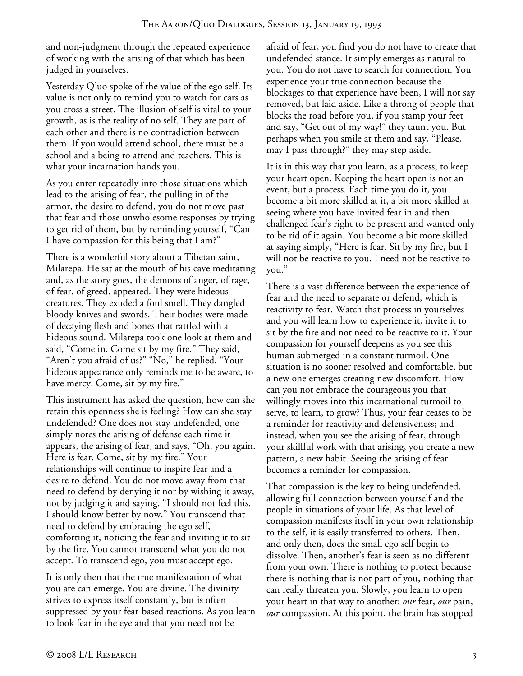and non-judgment through the repeated experience of working with the arising of that which has been judged in yourselves.

Yesterday Q'uo spoke of the value of the ego self. Its value is not only to remind you to watch for cars as you cross a street. The illusion of self is vital to your growth, as is the reality of no self. They are part of each other and there is no contradiction between them. If you would attend school, there must be a school and a being to attend and teachers. This is what your incarnation hands you.

As you enter repeatedly into those situations which lead to the arising of fear, the pulling in of the armor, the desire to defend, you do not move past that fear and those unwholesome responses by trying to get rid of them, but by reminding yourself, "Can I have compassion for this being that I am?"

There is a wonderful story about a Tibetan saint, Milarepa. He sat at the mouth of his cave meditating and, as the story goes, the demons of anger, of rage, of fear, of greed, appeared. They were hideous creatures. They exuded a foul smell. They dangled bloody knives and swords. Their bodies were made of decaying flesh and bones that rattled with a hideous sound. Milarepa took one look at them and said, "Come in. Come sit by my fire." They said, "Aren't you afraid of us?" "No," he replied. "Your hideous appearance only reminds me to be aware, to have mercy. Come, sit by my fire."

This instrument has asked the question, how can she retain this openness she is feeling? How can she stay undefended? One does not stay undefended, one simply notes the arising of defense each time it appears, the arising of fear, and says, "Oh, you again. Here is fear. Come, sit by my fire." Your relationships will continue to inspire fear and a desire to defend. You do not move away from that need to defend by denying it nor by wishing it away, not by judging it and saying, "I should not feel this. I should know better by now." You transcend that need to defend by embracing the ego self, comforting it, noticing the fear and inviting it to sit by the fire. You cannot transcend what you do not accept. To transcend ego, you must accept ego.

It is only then that the true manifestation of what you are can emerge. You are divine. The divinity strives to express itself constantly, but is often suppressed by your fear-based reactions. As you learn to look fear in the eye and that you need not be

afraid of fear, you find you do not have to create that undefended stance. It simply emerges as natural to you. You do not have to search for connection. You experience your true connection because the blockages to that experience have been, I will not say removed, but laid aside. Like a throng of people that blocks the road before you, if you stamp your feet and say, "Get out of my way!" they taunt you. But perhaps when you smile at them and say, "Please, may I pass through?" they may step aside.

It is in this way that you learn, as a process, to keep your heart open. Keeping the heart open is not an event, but a process. Each time you do it, you become a bit more skilled at it, a bit more skilled at seeing where you have invited fear in and then challenged fear's right to be present and wanted only to be rid of it again. You become a bit more skilled at saying simply, "Here is fear. Sit by my fire, but I will not be reactive to you. I need not be reactive to you."

There is a vast difference between the experience of fear and the need to separate or defend, which is reactivity to fear. Watch that process in yourselves and you will learn how to experience it, invite it to sit by the fire and not need to be reactive to it. Your compassion for yourself deepens as you see this human submerged in a constant turmoil. One situation is no sooner resolved and comfortable, but a new one emerges creating new discomfort. How can you not embrace the courageous you that willingly moves into this incarnational turmoil to serve, to learn, to grow? Thus, your fear ceases to be a reminder for reactivity and defensiveness; and instead, when you see the arising of fear, through your skillful work with that arising, you create a new pattern, a new habit. Seeing the arising of fear becomes a reminder for compassion.

That compassion is the key to being undefended, allowing full connection between yourself and the people in situations of your life. As that level of compassion manifests itself in your own relationship to the self, it is easily transferred to others. Then, and only then, does the small ego self begin to dissolve. Then, another's fear is seen as no different from your own. There is nothing to protect because there is nothing that is not part of you, nothing that can really threaten you. Slowly, you learn to open your heart in that way to another: *our* fear, *our* pain, *our* compassion. At this point, the brain has stopped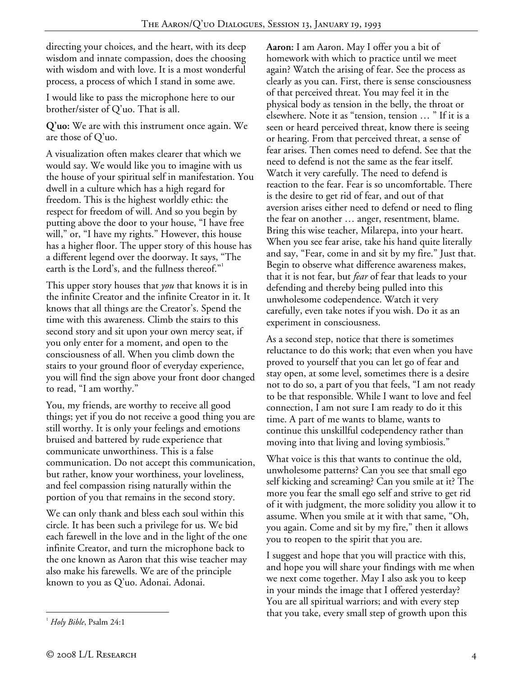directing your choices, and the heart, with its deep wisdom and innate compassion, does the choosing with wisdom and with love. It is a most wonderful process, a process of which I stand in some awe.

I would like to pass the microphone here to our brother/sister of Q'uo. That is all.

**Q'uo:** We are with this instrument once again. We are those of Q'uo.

A visualization often makes clearer that which we would say. We would like you to imagine with us the house of your spiritual self in manifestation. You dwell in a culture which has a high regard for freedom. This is the highest worldly ethic: the respect for freedom of will. And so you begin by putting above the door to your house, "I have free will," or, "I have my rights." However, this house has a higher floor. The upper story of this house has a different legend over the doorway. It says, "The earth is the Lord's, and the fullness thereof."

This upper story houses that *you* that knows it is in the infinite Creator and the infinite Creator in it. It knows that all things are the Creator's. Spend the time with this awareness. Climb the stairs to this second story and sit upon your own mercy seat, if you only enter for a moment, and open to the consciousness of all. When you climb down the stairs to your ground floor of everyday experience, you will find the sign above your front door changed to read, "I am worthy."

You, my friends, are worthy to receive all good things; yet if you do not receive a good thing you are still worthy. It is only your feelings and emotions bruised and battered by rude experience that communicate unworthiness. This is a false communication. Do not accept this communication, but rather, know your worthiness, your loveliness, and feel compassion rising naturally within the portion of you that remains in the second story.

We can only thank and bless each soul within this circle. It has been such a privilege for us. We bid each farewell in the love and in the light of the one infinite Creator, and turn the microphone back to the one known as Aaron that this wise teacher may also make his farewells. We are of the principle known to you as Q'uo. Adonai. Adonai.

As a second step, notice that there is sometimes reluctance to do this work; that even when you have proved to yourself that you can let go of fear and stay open, at some level, sometimes there is a desire not to do so, a part of you that feels, "I am not ready to be that responsible. While I want to love and feel connection, I am not sure I am ready to do it this time. A part of me wants to blame, wants to continue this unskillful codependency rather than moving into that living and loving symbiosis."

What voice is this that wants to continue the old, unwholesome patterns? Can you see that small ego self kicking and screaming? Can you smile at it? The more you fear the small ego self and strive to get rid of it with judgment, the more solidity you allow it to assume. When you smile at it with that same, "Oh, you again. Come and sit by my fire," then it allows you to reopen to the spirit that you are.

I suggest and hope that you will practice with this, and hope you will share your findings with me when we next come together. May I also ask you to keep in your minds the image that I offered yesterday? You are all spiritual warriors; and with every step that you take, every small step of growth upon this

**Aaron:** I am Aaron. May I offer you a bit of homework with which to practice until we meet again? Watch the arising of fear. See the process as clearly as you can. First, there is sense consciousness of that perceived threat. You may feel it in the physical body as tension in the belly, the throat or elsewhere. Note it as "tension, tension … " If it is a seen or heard perceived threat, know there is seeing or hearing. From that perceived threat, a sense of fear arises. Then comes need to defend. See that the need to defend is not the same as the fear itself. Watch it very carefully. The need to defend is reaction to the fear. Fear is so uncomfortable. There is the desire to get rid of fear, and out of that aversion arises either need to defend or need to fling the fear on another … anger, resentment, blame. Bring this wise teacher, Milarepa, into your heart. When you see fear arise, take his hand quite literally and say, "Fear, come in and sit by my fire." Just that. Begin to observe what difference awareness makes, that it is not fear, but *fear* of fear that leads to your defending and thereby being pulled into this unwholesome codependence. Watch it very carefully, even take notes if you wish. Do it as an experiment in consciousness.

 $\overline{a}$ <sup>1</sup> *Holy Bible*, Psalm 24:1